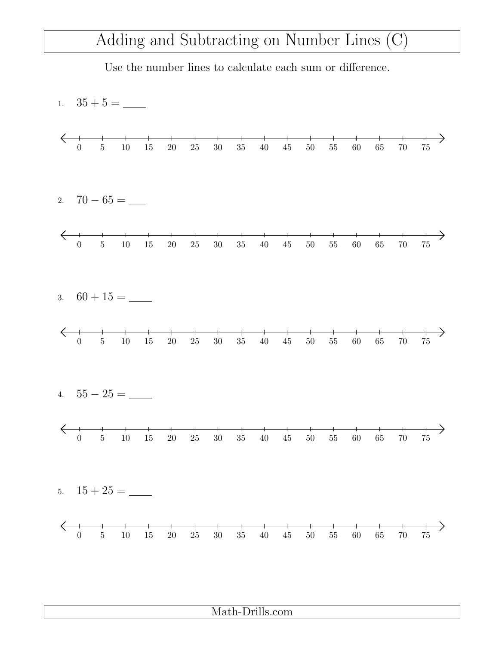## Adding and Subtracting on Number Lines (C)

Use the number lines to calculate each sum or difference.